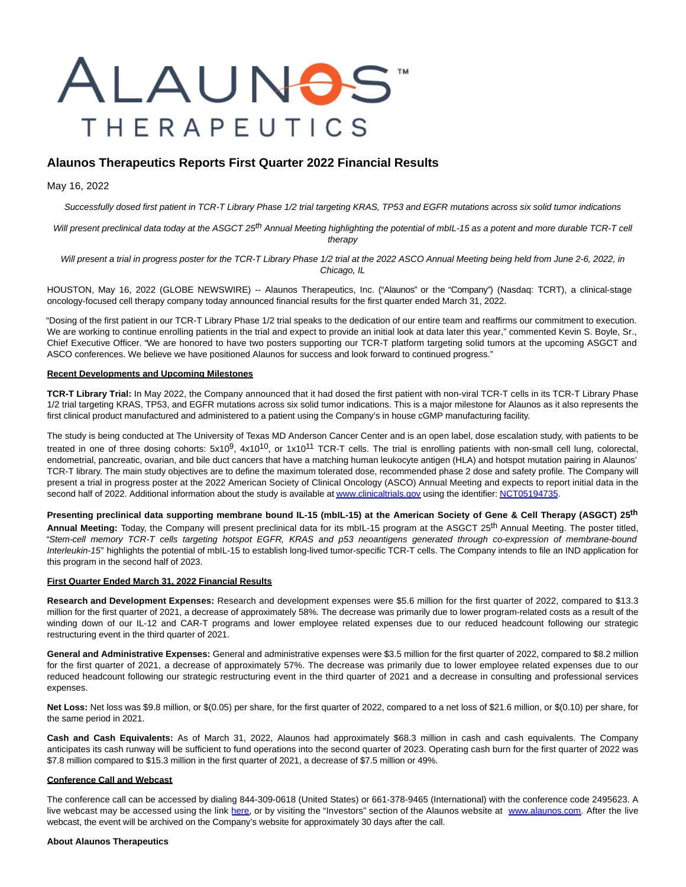# ALAUN<del>O</del>S" **THERAPEUTICS**

# **Alaunos Therapeutics Reports First Quarter 2022 Financial Results**

#### May 16, 2022

Successfully dosed first patient in TCR-T Library Phase 1/2 trial targeting KRAS, TP53 and EGFR mutations across six solid tumor indications

Will present preclinical data today at the ASGCT 25<sup>th</sup> Annual Meeting highlighting the potential of mbIL-15 as a potent and more durable TCR-T cell therapy

Will present a trial in progress poster for the TCR-T Library Phase 1/2 trial at the 2022 ASCO Annual Meeting being held from June 2-6, 2022, in Chicago, IL

HOUSTON, May 16, 2022 (GLOBE NEWSWIRE) -- Alaunos Therapeutics, Inc. ("Alaunos" or the "Company") (Nasdaq: TCRT), a clinical-stage oncology-focused cell therapy company today announced financial results for the first quarter ended March 31, 2022.

"Dosing of the first patient in our TCR-T Library Phase 1/2 trial speaks to the dedication of our entire team and reaffirms our commitment to execution. We are working to continue enrolling patients in the trial and expect to provide an initial look at data later this year," commented Kevin S. Boyle, Sr., Chief Executive Officer. "We are honored to have two posters supporting our TCR-T platform targeting solid tumors at the upcoming ASGCT and ASCO conferences. We believe we have positioned Alaunos for success and look forward to continued progress."

#### **Recent Developments and Upcoming Milestones**

**TCR-T Library Trial:** In May 2022, the Company announced that it had dosed the first patient with non-viral TCR-T cells in its TCR-T Library Phase 1/2 trial targeting KRAS, TP53, and EGFR mutations across six solid tumor indications. This is a major milestone for Alaunos as it also represents the first clinical product manufactured and administered to a patient using the Company's in house cGMP manufacturing facility.

The study is being conducted at The University of Texas MD Anderson Cancer Center and is an open label, dose escalation study, with patients to be treated in one of three dosing cohorts: 5x10<sup>9</sup>, 4x10<sup>10</sup>, or 1x10<sup>11</sup> TCR-T cells. The trial is enrolling patients with non-small cell lung, colorectal, endometrial, pancreatic, ovarian, and bile duct cancers that have a matching human leukocyte antigen (HLA) and hotspot mutation pairing in Alaunos' TCR-T library. The main study objectives are to define the maximum tolerated dose, recommended phase 2 dose and safety profile. The Company will present a trial in progress poster at the 2022 American Society of Clinical Oncology (ASCO) Annual Meeting and expects to report initial data in the second half of 2022. Additional information about the study is available a[t www.clinicaltrials.gov u](https://www.globenewswire.com/Tracker?data=-3gZ6NptnmmN39tAwqJd-OxK5YjgW__vebxY8SEmeUzV6DTssbFIAKN9GEZkmFl-IJNX3WVr3mAI5ZkWmJNJJyP1pfWPapT-od4qzwsI2j4=)sing the identifier[: NCT05194735.](https://www.globenewswire.com/Tracker?data=xe-5Q-MQUdMCqOazKDLe5vdmaRxjWSboJTPRLBsLz6v_WH8PIkPwd6OTjvjPgSt9sG-0nzzBLymSrZH8V5EsdZfQrJC7DWPEZ-KUnatgTQLJigVlY4cKYcJjo2IiaJ65lGc51d_6zdsRO2msKKTVMA==)

**Presenting preclinical data supporting membrane bound IL-15 (mbIL-15) at the American Society of Gene & Cell Therapy (ASGCT) 25th**

**Annual Meeting:** Today, the Company will present preclinical data for its mbIL-15 program at the ASGCT 25th Annual Meeting. The poster titled, "Stem-cell memory TCR-T cells targeting hotspot EGFR, KRAS and p53 neoantigens generated through co-expression of membrane-bound Interleukin-15" highlights the potential of mbIL-15 to establish long-lived tumor-specific TCR-T cells. The Company intends to file an IND application for this program in the second half of 2023.

#### **First Quarter Ended March 31, 2022 Financial Results**

**Research and Development Expenses:** Research and development expenses were \$5.6 million for the first quarter of 2022, compared to \$13.3 million for the first quarter of 2021, a decrease of approximately 58%. The decrease was primarily due to lower program-related costs as a result of the winding down of our IL-12 and CAR-T programs and lower employee related expenses due to our reduced headcount following our strategic restructuring event in the third quarter of 2021.

**General and Administrative Expenses:** General and administrative expenses were \$3.5 million for the first quarter of 2022, compared to \$8.2 million for the first quarter of 2021, a decrease of approximately 57%. The decrease was primarily due to lower employee related expenses due to our reduced headcount following our strategic restructuring event in the third quarter of 2021 and a decrease in consulting and professional services expenses.

**Net Loss:** Net loss was \$9.8 million, or \$(0.05) per share, for the first quarter of 2022, compared to a net loss of \$21.6 million, or \$(0.10) per share, for the same period in 2021.

**Cash and Cash Equivalents:** As of March 31, 2022, Alaunos had approximately \$68.3 million in cash and cash equivalents. The Company anticipates its cash runway will be sufficient to fund operations into the second quarter of 2023. Operating cash burn for the first quarter of 2022 was \$7.8 million compared to \$15.3 million in the first quarter of 2021, a decrease of \$7.5 million or 49%.

#### **Conference Call and Webcast**

The conference call can be accessed by dialing 844-309-0618 (United States) or 661-378-9465 (International) with the conference code 2495623. A live webcast may be accessed using the link [here,](https://www.globenewswire.com/Tracker?data=-axgBJspY5GIxZjWzPtqT9yVt1PTC9UkxHJoaGs5zFwKN50TFjuWqszfybI8N6TCBdfR57kyvYyIyDq5jeIvF72IRv6DNoQbddN5KFDYpng=) or by visiting the "Investors" section of the Alaunos website at [www.alaunos.com.](https://www.globenewswire.com/Tracker?data=nWshVOsDgYm82A5Diwbl85Z_vpFG2034eRWjv1-3g5kkbcQZyOGFOBGrXBoefdvJA4F2lFUUGlCOB9vSSEceGQ==) After the live webcast, the event will be archived on the Company's website for approximately 30 days after the call.

#### **About Alaunos Therapeutics**